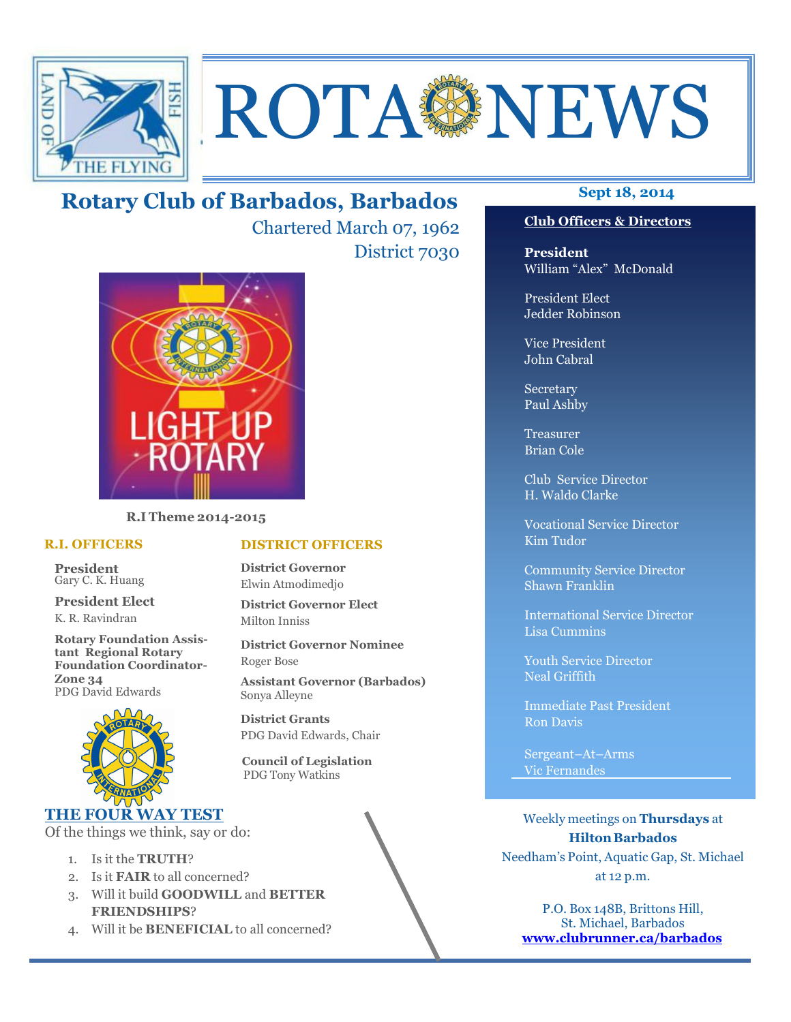

# **ROTA NEWS**

## **Sept 18, 2014 Rotary Club of Barbados, Barbados**

Chartered March 07, 1962 District 7030



**R.I Theme 2014-2015** 

#### **R.I. OFFICERS**

**President** Gary C. K. Huang

**President Elect** K. R. Ravindran

**Rotary Foundation Assistant Regional Rotary Foundation Coordinator-Zone 34**  PDG David Edwards



### **THE FOUR WAY TEST**

Of the things we think, say or do:

- 1. Is it the **TRUTH**?
- 2. Is it **FAIR** to all concerned?
- 3. Will it build **GOODWILL** and **BETTER FRIENDSHIPS**?
- 4. Will it be **BENEFICIAL** to all concerned?

#### **DISTRICT OFFICERS**

**District Governor** Elwin Atmodimedjo

**District Governor Elect** Milton Inniss

**District Governor Nominee**  Roger Bose

**Assistant Governor (Barbados)** Sonya Alleyne

**District Grants**  PDG David Edwards, Chair

 **Council of Legislation**  PDG Tony Watkins

#### **Club Officers & Directors**

**President** William "Alex" McDonald

President Elect Jedder Robinson

Vice President John Cabral

Secretary Paul Ashby

Treasurer Brian Cole

Club Service Director H. Waldo Clarke

Vocational Service Director Kim Tudor

Community Service Director Shawn Franklin

International Service Director Lisa Cummins

Youth Service Director Neal Griffith

Immediate Past President Ron Davis

Sergeant–At–Arms Vic Fernandes

Weekly meetings on **Thursdays** at **Hilton Barbados** Needham's Point, Aquatic Gap, St. Michael at 12 p.m.

P.O. Box 148B, Brittons Hill, St. Michael, Barbados **www.clubrunner.ca/barbados**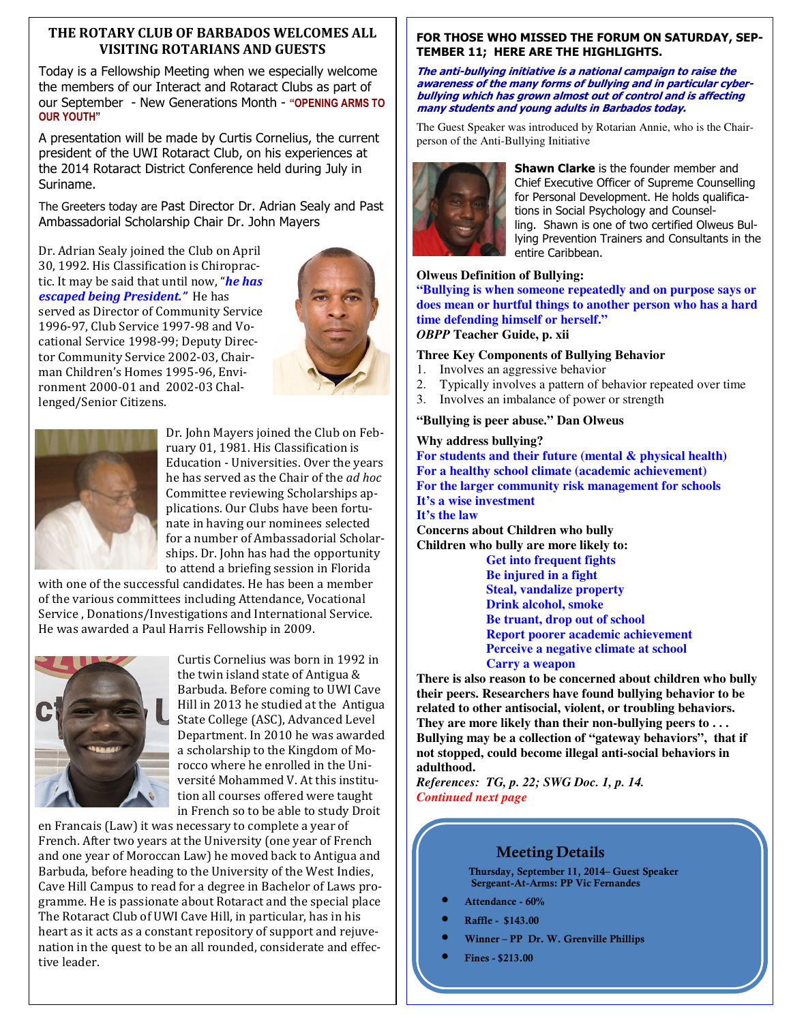#### **THE ROTARY CLUB OF BARBADOS WELCOMES ALL VISITING ROTARIANS AND GUESTS**

Today is a Fellowship Meeting when we especially welcome the members of our Interact and Rotaract Clubs as part of our September - New Generations Month - **"OPENING ARMS TO OUR YOUTH"**

A presentation will be made by Curtis Cornelius, the current president of the UWI Rotaract Club, on his experiences at the 2014 Rotaract District Conference held during July in Suriname.

The Greeters today are Past Director Dr. Adrian Sealy and Past Ambassadorial Scholarship Chair Dr. John Mayers

Dr. Adrian Sealy joined the Club on April 30, 1992. His Classification is Chiropractic. It may be said that until now, "*he has escaped being President."* He has served as Director of Community Service 1996-97, Club Service 1997-98 and Vocational Service 1998-99; Deputy Director Community Service 2002-03, Chairman Children's Homes 1995-96, Environment 2000-01 and 2002-03 Challenged/Senior Citizens.





Dr. John Mayers joined the Club on February 01, 1981. His Classification is Education - Universities. Over the years he has served as the Chair of the *ad hoc*  Committee reviewing Scholarships applications. Our Clubs have been fortunate in having our nominees selected for a number of Ambassadorial Scholarships. Dr. John has had the opportunity to attend a briefing session in Florida

with one of the successful candidates. He has been a member of the various committees including Attendance, Vocational Service , Donations/Investigations and International Service. He was awarded a Paul Harris Fellowship in 2009.



Curtis Cornelius was born in 1992 in the twin island state of Antigua & Barbuda. Before coming to UWI Cave Hill in 2013 he studied at the Antigua State College (ASC), Advanced Level Department. In 2010 he was awarded a scholarship to the Kingdom of Morocco where he enrolled in the Université Mohammed V. At this institution all courses offered were taught in French so to be able to study Droit

en Francais (Law) it was necessary to complete a year of French. After two years at the University (one year of French and one year of Moroccan Law) he moved back to Antigua and Barbuda, before heading to the University of the West Indies, Cave Hill Campus to read for a degree in Bachelor of Laws programme. He is passionate about Rotaract and the special place The Rotaract Club of UWI Cave Hill, in particular, has in his heart as it acts as a constant repository of support and rejuvenation in the quest to be an all rounded, considerate and effective leader.

#### **FOR THOSE WHO MISSED THE FORUM ON SATURDAY, SEP-TEMBER 11; HERE ARE THE HIGHLIGHTS.**

#### **The anti-bullying initiative is a national campaign to raise the awareness of the many forms of bullying and in particular cyberbullying which has grown almost out of control and is affecting many students and young adults in Barbados today.**

The Guest Speaker was introduced by Rotarian Annie, who is the Chairperson of the Anti-Bullying Initiative



**Shawn Clarke** is the founder member and Chief Executive Officer of Supreme Counselling for Personal Development. He holds qualifications in Social Psychology and Counselling. Shawn is one of two certified Olweus Bullying Prevention Trainers and Consultants in the entire Caribbean.

#### **Olweus Definition of Bullying:**

**"Bullying is when someone repeatedly and on purpose says or does mean or hurtful things to another person who has a hard time defending himself or herself."**  *OBPP* **Teacher Guide, p. xii** 

#### **Three Key Components of Bullying Behavior**

- 1. Involves an aggressive behavior
- 2. Typically involves a pattern of behavior repeated over time
- 3. Involves an imbalance of power or strength

#### **"Bullying is peer abuse." Dan Olweus**

#### **Why address bullying?**

**For students and their future (mental & physical health) For a healthy school climate (academic achievement) For the larger community risk management for schools It's a wise investment It's the law Concerns about Children who bully Children who bully are more likely to:** 

**Get into frequent fights Be injured in a fight Steal, vandalize property Drink alcohol, smoke Be truant, drop out of school Report poorer academic achievement Perceive a negative climate at school Carry a weapon** 

**There is also reason to be concerned about children who bully their peers. Researchers have found bullying behavior to be related to other antisocial, violent, or troubling behaviors. They are more likely than their non-bullying peers to . . . Bullying may be a collection of "gateway behaviors", that if not stopped, could become illegal anti-social behaviors in adulthood.** 

*References: TG, p. 22; SWG Doc. 1, p. 14. Continued next page*

#### **Meeting Details**

**Thursday, September 11, 2014– Guest Speaker Sergeant-At-Arms: PP Vic Fernandes** 

- **Attendance 60%**
- **Raffle \$143.00**
- **Winner PP Dr. W. Grenville Phillips**
- **Fines \$213.00**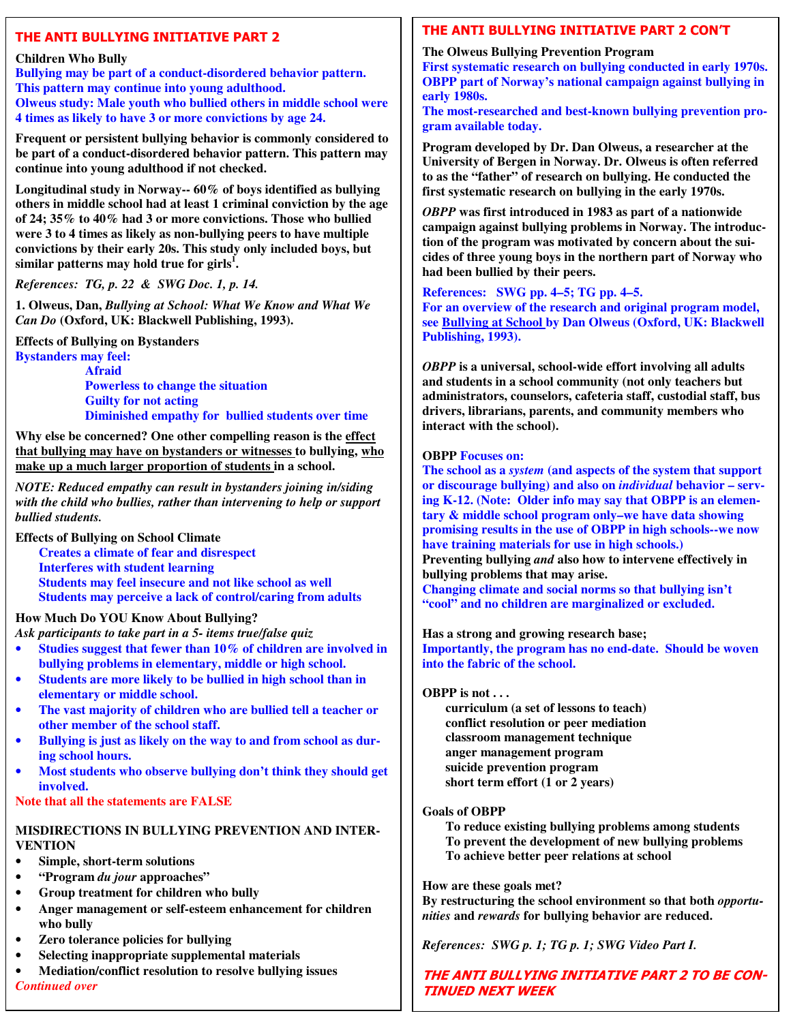#### **THE ANTI BULLYING INITIATIVE PART 2**

#### **Children Who Bully**

**Bullying may be part of a conduct-disordered behavior pattern. This pattern may continue into young adulthood. Olweus study: Male youth who bullied others in middle school were 4 times as likely to have 3 or more convictions by age 24.** 

**Frequent or persistent bullying behavior is commonly considered to be part of a conduct-disordered behavior pattern. This pattern may continue into young adulthood if not checked.** 

**Longitudinal study in Norway-- 60% of boys identified as bullying others in middle school had at least 1 criminal conviction by the age of 24; 35% to 40% had 3 or more convictions. Those who bullied were 3 to 4 times as likely as non-bullying peers to have multiple convictions by their early 20s. This study only included boys, but similar patterns may hold true for girls<sup>1</sup> .** 

*References: TG, p. 22 & SWG Doc. 1, p. 14.* 

**1. Olweus, Dan,** *Bullying at School: What We Know and What We Can Do* **(Oxford, UK: Blackwell Publishing, 1993).** 

**Effects of Bullying on Bystanders Bystanders may feel: Afraid Powerless to change the situation Guilty for not acting** 

**Diminished empathy for bullied students over time** 

**Why else be concerned? One other compelling reason is the effect that bullying may have on bystanders or witnesses to bullying, who make up a much larger proportion of students in a school.** 

*NOTE: Reduced empathy can result in bystanders joining in/siding with the child who bullies, rather than intervening to help or support bullied students.* 

**Effects of Bullying on School Climate** 

**Creates a climate of fear and disrespect Interferes with student learning Students may feel insecure and not like school as well Students may perceive a lack of control/caring from adults** 

#### **How Much Do YOU Know About Bullying?**

*Ask participants to take part in a 5- items true/false quiz*

- **Studies suggest that fewer than 10% of children are involved in bullying problems in elementary, middle or high school.**
- **Students are more likely to be bullied in high school than in elementary or middle school.**
- **The vast majority of children who are bullied tell a teacher or other member of the school staff.**
- **Bullying is just as likely on the way to and from school as during school hours.**
- **Most students who observe bullying don't think they should get involved.**

**Note that all the statements are FALSE** 

#### **MISDIRECTIONS IN BULLYING PREVENTION AND INTER-VENTION**

- **Simple, short-term solutions**
- **"Program** *du jour* **approaches"**
- **Group treatment for children who bully**
- **Anger management or self-esteem enhancement for children who bully**
- **Zero tolerance policies for bullying**
- **Selecting inappropriate supplemental materials**
- **Mediation/conflict resolution to resolve bullying issues**  *Continued over*

#### **THE ANTI BULLYING INITIATIVE PART 2 CON'T**

#### **The Olweus Bullying Prevention Program**

**First systematic research on bullying conducted in early 1970s. OBPP part of Norway's national campaign against bullying in early 1980s.** 

**The most-researched and best-known bullying prevention program available today.** 

**Program developed by Dr. Dan Olweus, a researcher at the University of Bergen in Norway. Dr. Olweus is often referred to as the "father" of research on bullying. He conducted the first systematic research on bullying in the early 1970s.** 

*OBPP* **was first introduced in 1983 as part of a nationwide campaign against bullying problems in Norway. The introduction of the program was motivated by concern about the suicides of three young boys in the northern part of Norway who had been bullied by their peers.** 

**References: SWG pp. 4–5; TG pp. 4–5.** 

**For an overview of the research and original program model, see Bullying at School by Dan Olweus (Oxford, UK: Blackwell Publishing, 1993).** 

*OBPP* **is a universal, school-wide effort involving all adults and students in a school community (not only teachers but administrators, counselors, cafeteria staff, custodial staff, bus drivers, librarians, parents, and community members who interact with the school).** 

#### **OBPP Focuses on:**

**The school as a** *system* **(and aspects of the system that support or discourage bullying) and also on** *individual* **behavior – serving K-12. (Note: Older info may say that OBPP is an elementary & middle school program only–we have data showing promising results in the use of OBPP in high schools--we now have training materials for use in high schools.) Preventing bullying** *and* **also how to intervene effectively in bullying problems that may arise. Changing climate and social norms so that bullying isn't** 

**"cool" and no children are marginalized or excluded.** 

**Has a strong and growing research base;** 

**Importantly, the program has no end-date. Should be woven into the fabric of the school.** 

#### **OBPP is not . . .**

**curriculum (a set of lessons to teach) conflict resolution or peer mediation classroom management technique anger management program suicide prevention program short term effort (1 or 2 years)** 

#### **Goals of OBPP**

**To reduce existing bullying problems among students To prevent the development of new bullying problems To achieve better peer relations at school** 

#### **How are these goals met?**

**By restructuring the school environment so that both** *opportunities* **and** *rewards* **for bullying behavior are reduced.** 

*References: SWG p. 1; TG p. 1; SWG Video Part I.* 

#### **THE ANTI BULLYING INITIATIVE PART 2 TO BE CON-TINUED NEXT WEEK**